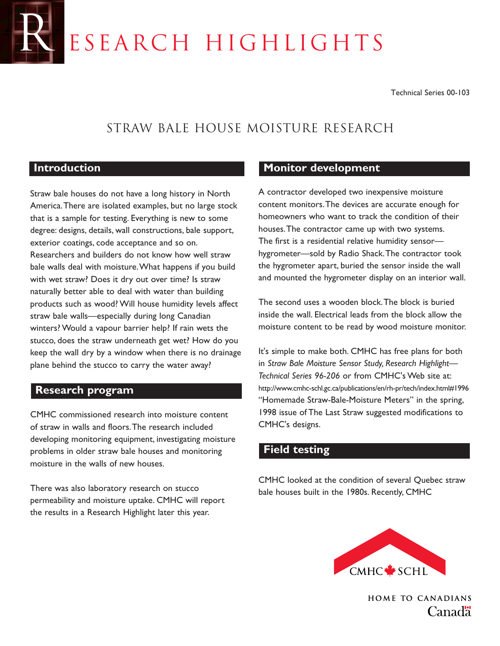# ESEARCH HIGHLIGHTS

Technical Series 00-103

# Straw Bale House Moisture Research

#### **Introduction**

Straw bale houses do not have a long history in North America.There are isolated examples, but no large stock that is a sample for testing. Everything is new to some degree: designs, details, wall constructions, bale support, exterior coatings, code acceptance and so on. Researchers and builders do not know how well straw bale walls deal with moisture.What happens if you build with wet straw? Does it dry out over time? Is straw naturally better able to deal with water than building products such as wood? Will house humidity levels affect straw bale walls—especially during long Canadian winters? Would a vapour barrier help? If rain wets the stucco, does the straw underneath get wet? How do you keep the wall dry by a window when there is no drainage plane behind the stucco to carry the water away?

#### **Research program**

CMHC commissioned research into moisture content of straw in walls and floors.The research included developing monitoring equipment, investigating moisture problems in older straw bale houses and monitoring moisture in the walls of new houses.

There was also laboratory research on stucco permeability and moisture uptake. CMHC will report the results in a Research Highlight later this year.

#### **Monitor development**

A contractor developed two inexpensive moisture content monitors.The devices are accurate enough for homeowners who want to track the condition of their houses.The contractor came up with two systems. The first is a residential relative humidity sensor hygrometer—sold by Radio Shack.The contractor took the hygrometer apart, buried the sensor inside the wall and mounted the hygrometer display on an interior wall.

The second uses a wooden block.The block is buried inside the wall. Electrical leads from the block allow the moisture content to be read by wood moisture monitor.

It's simple to make both. CMHC has free plans for both in *Straw Bale Moisture Sensor Study, Research Highlight— Technical Series 96-206* or from CMHC's Web site at: http://www.cmhc-schl.gc.ca/publications/en/rh-pr/tech/index.html#1996 "Homemade Straw-Bale-Moisture Meters" in the spring, 1998 issue of The Last Straw suggested modifications to CMHC's designs.

## **Field testing**

CMHC looked at the condition of several Quebec straw bale houses built in the 1980s. Recently, CMHC



**HOME TO CANADIANS**  $C$ anad $\ddagger$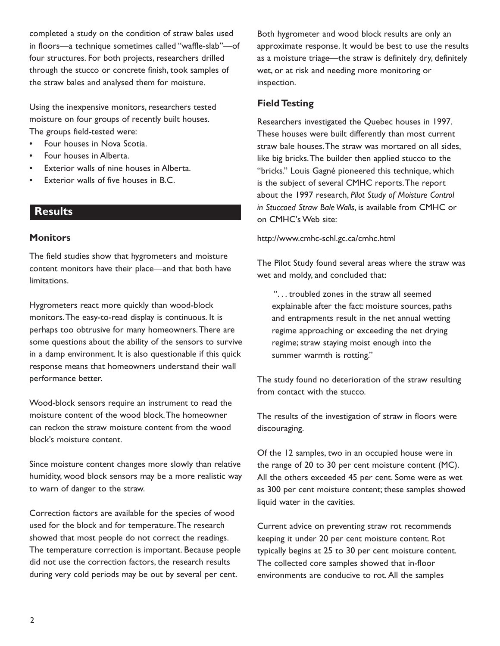completed a study on the condition of straw bales used in floors—a technique sometimes called "waffle-slab"—of four structures. For both projects, researchers drilled through the stucco or concrete finish, took samples of the straw bales and analysed them for moisture.

Using the inexpensive monitors, researchers tested moisture on four groups of recently built houses. The groups field-tested were:

- Four houses in Nova Scotia.
- Four houses in Alberta.
- Exterior walls of nine houses in Alberta.
- Exterior walls of five houses in B.C.

#### **Results**

#### **Monitors**

The field studies show that hygrometers and moisture content monitors have their place—and that both have limitations.

Hygrometers react more quickly than wood-block monitors.The easy-to-read display is continuous. It is perhaps too obtrusive for many homeowners.There are some questions about the ability of the sensors to survive in a damp environment. It is also questionable if this quick response means that homeowners understand their wall performance better.

Wood-block sensors require an instrument to read the moisture content of the wood block.The homeowner can reckon the straw moisture content from the wood block's moisture content.

Since moisture content changes more slowly than relative humidity, wood block sensors may be a more realistic way to warn of danger to the straw.

Correction factors are available for the species of wood used for the block and for temperature.The research showed that most people do not correct the readings. The temperature correction is important. Because people did not use the correction factors, the research results during very cold periods may be out by several per cent.

Both hygrometer and wood block results are only an approximate response. It would be best to use the results as a moisture triage—the straw is definitely dry, definitely wet, or at risk and needing more monitoring or inspection.

#### **Field Testing**

Researchers investigated the Quebec houses in 1997. These houses were built differently than most current straw bale houses.The straw was mortared on all sides, like big bricks.The builder then applied stucco to the "bricks." Louis Gagné pioneered this technique, which is the subject of several CMHC reports.The report about the 1997 research, *Pilot Study of Moisture Control in Stuccoed Straw Bale Walls*, is available from CMHC or on CMHC's Web site:

http://www.cmhc-schl.gc.ca/cmhc.html

The Pilot Study found several areas where the straw was wet and moldy, and concluded that:

". . . troubled zones in the straw all seemed explainable after the fact: moisture sources, paths and entrapments result in the net annual wetting regime approaching or exceeding the net drying regime; straw staying moist enough into the summer warmth is rotting."

The study found no deterioration of the straw resulting from contact with the stucco.

The results of the investigation of straw in floors were discouraging.

Of the 12 samples, two in an occupied house were in the range of 20 to 30 per cent moisture content (MC). All the others exceeded 45 per cent. Some were as wet as 300 per cent moisture content; these samples showed liquid water in the cavities.

Current advice on preventing straw rot recommends keeping it under 20 per cent moisture content. Rot typically begins at 25 to 30 per cent moisture content. The collected core samples showed that in-floor environments are conducive to rot. All the samples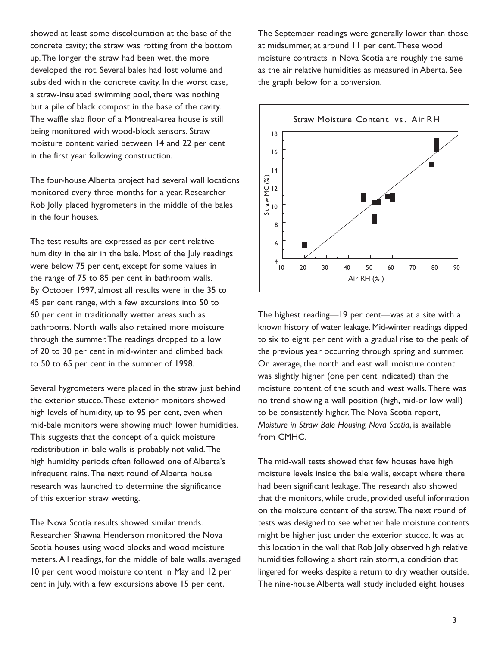showed at least some discolouration at the base of the concrete cavity; the straw was rotting from the bottom up.The longer the straw had been wet, the more developed the rot. Several bales had lost volume and subsided within the concrete cavity. In the worst case, a straw-insulated swimming pool, there was nothing but a pile of black compost in the base of the cavity. The waffle slab floor of a Montreal-area house is still being monitored with wood-block sensors. Straw moisture content varied between 14 and 22 per cent in the first year following construction.

The four-house Alberta project had several wall locations monitored every three months for a year. Researcher Rob Jolly placed hygrometers in the middle of the bales in the four houses.

The test results are expressed as per cent relative humidity in the air in the bale. Most of the July readings were below 75 per cent, except for some values in the range of 75 to 85 per cent in bathroom walls. By October 1997, almost all results were in the 35 to 45 per cent range, with a few excursions into 50 to 60 per cent in traditionally wetter areas such as bathrooms. North walls also retained more moisture through the summer.The readings dropped to a low of 20 to 30 per cent in mid-winter and climbed back to 50 to 65 per cent in the summer of 1998.

Several hygrometers were placed in the straw just behind the exterior stucco.These exterior monitors showed high levels of humidity, up to 95 per cent, even when mid-bale monitors were showing much lower humidities. This suggests that the concept of a quick moisture redistribution in bale walls is probably not valid.The high humidity periods often followed one of Alberta's infrequent rains.The next round of Alberta house research was launched to determine the significance of this exterior straw wetting.

The Nova Scotia results showed similar trends. Researcher Shawna Henderson monitored the Nova Scotia houses using wood blocks and wood moisture meters. All readings, for the middle of bale walls, averaged 10 per cent wood moisture content in May and 12 per cent in July, with a few excursions above 15 per cent.

The September readings were generally lower than those at midsummer, at around 11 per cent.These wood moisture contracts in Nova Scotia are roughly the same as the air relative humidities as measured in Aberta. See the graph below for a conversion.



The highest reading—19 per cent—was at a site with a known history of water leakage. Mid-winter readings dipped to six to eight per cent with a gradual rise to the peak of the previous year occurring through spring and summer. On average, the north and east wall moisture content was slightly higher (one per cent indicated) than the moisture content of the south and west walls.There was no trend showing a wall position (high, mid-or low wall) to be consistently higher.The Nova Scotia report, *Moisture in Straw Bale Housing, Nova Scotia*, is available from CMHC.

The mid-wall tests showed that few houses have high moisture levels inside the bale walls, except where there had been significant leakage.The research also showed that the monitors, while crude, provided useful information on the moisture content of the straw.The next round of tests was designed to see whether bale moisture contents might be higher just under the exterior stucco. It was at this location in the wall that Rob Jolly observed high relative humidities following a short rain storm, a condition that lingered for weeks despite a return to dry weather outside. The nine-house Alberta wall study included eight houses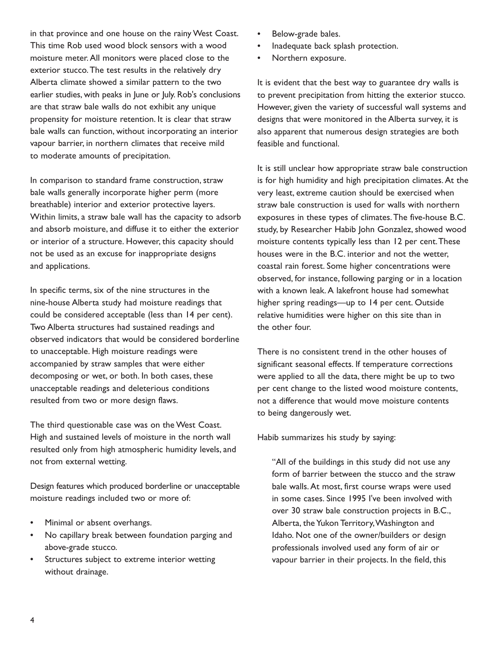in that province and one house on the rainy West Coast. This time Rob used wood block sensors with a wood moisture meter. All monitors were placed close to the exterior stucco.The test results in the relatively dry Alberta climate showed a similar pattern to the two earlier studies, with peaks in June or July. Rob's conclusions are that straw bale walls do not exhibit any unique propensity for moisture retention. It is clear that straw bale walls can function, without incorporating an interior vapour barrier, in northern climates that receive mild to moderate amounts of precipitation.

In comparison to standard frame construction, straw bale walls generally incorporate higher perm (more breathable) interior and exterior protective layers. Within limits, a straw bale wall has the capacity to adsorb and absorb moisture, and diffuse it to either the exterior or interior of a structure. However, this capacity should not be used as an excuse for inappropriate designs and applications.

In specific terms, six of the nine structures in the nine-house Alberta study had moisture readings that could be considered acceptable (less than 14 per cent). Two Alberta structures had sustained readings and observed indicators that would be considered borderline to unacceptable. High moisture readings were accompanied by straw samples that were either decomposing or wet, or both. In both cases, these unacceptable readings and deleterious conditions resulted from two or more design flaws.

The third questionable case was on the West Coast. High and sustained levels of moisture in the north wall resulted only from high atmospheric humidity levels, and not from external wetting.

Design features which produced borderline or unacceptable moisture readings included two or more of:

- Minimal or absent overhangs.
- No capillary break between foundation parging and above-grade stucco.
- Structures subject to extreme interior wetting without drainage.
- Below-grade bales.
- Inadequate back splash protection.
- Northern exposure.

It is evident that the best way to guarantee dry walls is to prevent precipitation from hitting the exterior stucco. However, given the variety of successful wall systems and designs that were monitored in the Alberta survey, it is also apparent that numerous design strategies are both feasible and functional.

It is still unclear how appropriate straw bale construction is for high humidity and high precipitation climates. At the very least, extreme caution should be exercised when straw bale construction is used for walls with northern exposures in these types of climates.The five-house B.C. study, by Researcher Habib John Gonzalez, showed wood moisture contents typically less than 12 per cent.These houses were in the B.C. interior and not the wetter, coastal rain forest. Some higher concentrations were observed, for instance, following parging or in a location with a known leak. A lakefront house had somewhat higher spring readings—up to 14 per cent. Outside relative humidities were higher on this site than in the other four.

There is no consistent trend in the other houses of significant seasonal effects. If temperature corrections were applied to all the data, there might be up to two per cent change to the listed wood moisture contents, not a difference that would move moisture contents to being dangerously wet.

Habib summarizes his study by saying:

"All of the buildings in this study did not use any form of barrier between the stucco and the straw bale walls. At most, first course wraps were used in some cases. Since 1995 I've been involved with over 30 straw bale construction projects in B.C., Alberta, the Yukon Territory,Washington and Idaho. Not one of the owner/builders or design professionals involved used any form of air or vapour barrier in their projects. In the field, this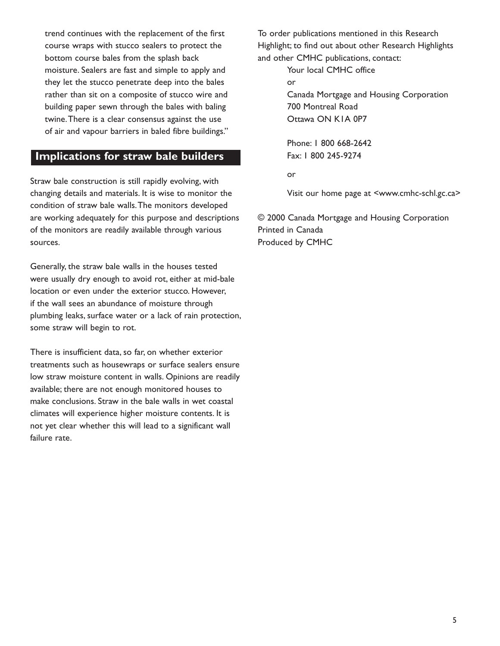trend continues with the replacement of the first course wraps with stucco sealers to protect the bottom course bales from the splash back moisture. Sealers are fast and simple to apply and they let the stucco penetrate deep into the bales rather than sit on a composite of stucco wire and building paper sewn through the bales with baling twine.There is a clear consensus against the use of air and vapour barriers in baled fibre buildings."

### **Implications for straw bale builders**

Straw bale construction is still rapidly evolving, with changing details and materials. It is wise to monitor the condition of straw bale walls.The monitors developed are working adequately for this purpose and descriptions of the monitors are readily available through various sources.

Generally, the straw bale walls in the houses tested were usually dry enough to avoid rot, either at mid-bale location or even under the exterior stucco. However, if the wall sees an abundance of moisture through plumbing leaks, surface water or a lack of rain protection, some straw will begin to rot.

There is insufficient data, so far, on whether exterior treatments such as housewraps or surface sealers ensure low straw moisture content in walls. Opinions are readily available; there are not enough monitored houses to make conclusions. Straw in the bale walls in wet coastal climates will experience higher moisture contents. It is not yet clear whether this will lead to a significant wall failure rate.

To order publications mentioned in this Research Highlight; to find out about other Research Highlights and other CMHC publications, contact:

> Your local CMHC office or Canada Mortgage and Housing Corporation 700 Montreal Road Ottawa ON K1A 0P7

Phone: 1 800 668-2642 Fax: 1 800 245-9274

or

Visit our home page at <www.cmhc-schl.gc.ca>

© 2000 Canada Mortgage and Housing Corporation Printed in Canada Produced by CMHC